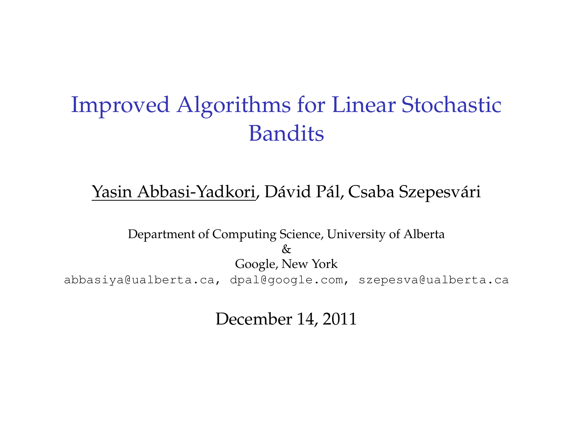## Improved Algorithms for Linear Stochastic Bandits

#### Yasin Abbasi-Yadkori, Dávid Pál, Csaba Szepesvári

Department of Computing Science, University of Alberta  $\kappa$ Google, New York abbasiya@ualberta.ca, dpal@google.com, szepesva@ualberta.ca

December 14, 2011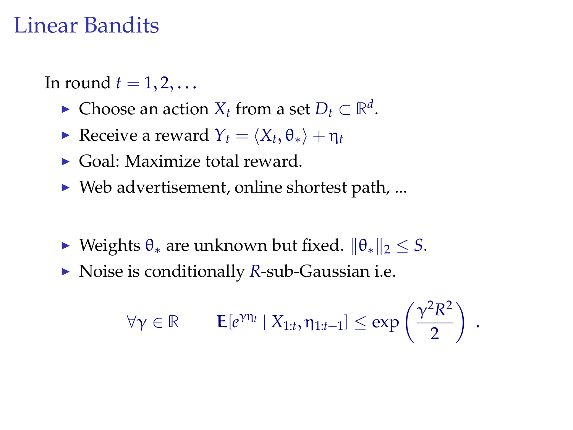### Linear Bandits

In round  $t = 1, 2, \ldots$ 

- ► Choose an action  $X_t$  from a set  $D_t \subset \mathbb{R}^d$ .
- $\blacktriangleright$  Receive a reward *Yt* =  $\langle X_t, \theta_* \rangle + \eta_t$
- $\triangleright$  Goal: Maximize total reward.
- $\triangleright$  Web advertisement, online shortest path, ...
- $\triangleright$  Weights  $θ_*$  are unknown but fixed.  $||θ_*||_2 ≤ S$ .
- ▶ Noise is conditionally *R*-sub-Gaussian i.e.

$$
\forall \gamma \in \mathbb{R} \qquad \mathsf{E}[e^{\gamma \eta_t} \mid X_{1:t}, \eta_{1:t-1}] \leq \exp\left(\frac{\gamma^2 R^2}{2}\right) .
$$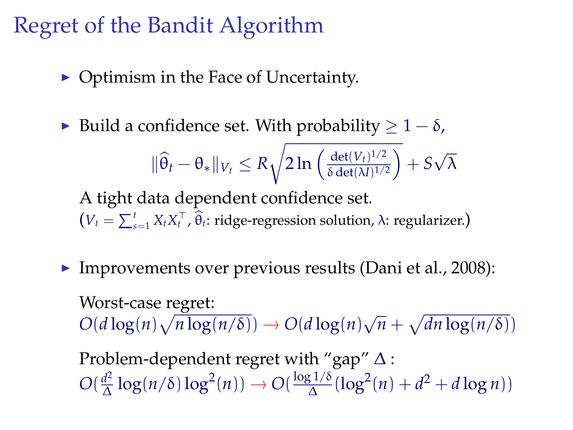# Regret of the Bandit Algorithm

- $\triangleright$  Optimism in the Face of Uncertainty.
- $\triangleright$  Build a confidence set. With probability  $\geq 1 \delta$ ,

$$
\|\widehat{\theta}_t - \theta_*\|_{V_t} \leq R\sqrt{2\ln\left(\tfrac{\det(V_t)^{1/2}}{\delta \det(M)^{1/2}}\right)} + S\sqrt{\lambda}
$$

A tight data dependent confidence set.  $(V_t = \sum_{s=1}^t X_t X_t^\top, \widehat{\theta}_t$ : ridge-regression solution,  $\lambda$ : regularizer.)

Improvements over previous results (Dani et al., 2008):

Worst-case regret:  $O(d \log(n) \sqrt{n \log(n/\delta)}) \rightarrow O(d \log(n))$ √  $\overline{n} + \sqrt{dn \log(n/\delta)}$ 

Problem-dependent regret with "gap" ∆ :  $O(\frac{d^2}{\Lambda})$  $\frac{d^2}{\Delta} \log(n/\delta) \log^2(n)) \rightarrow O(\frac{\log 1/\delta}{\Delta})$  $\frac{d^{2} (1/\delta)}{\Delta} (\log^{2}(n) + d^{2} + d \log n))$